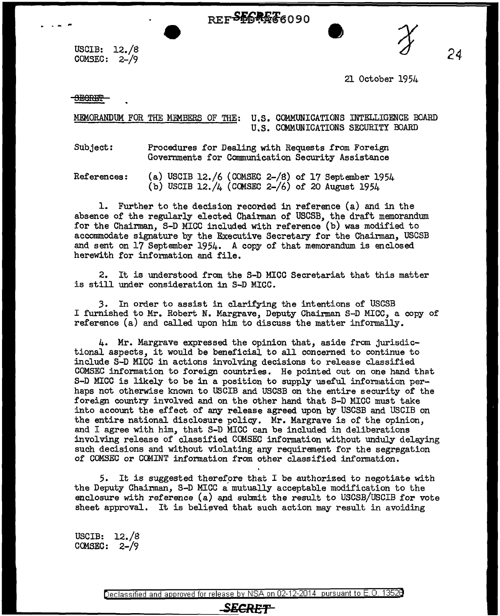REFSFGREE6090

USCIB: 12./8 COMSEC:  $2-\frac{1}{9}$ 

24

21 October 1954

<del>SECRET</del>

. . .

MEMORANDUM FOR THE MEMBERS OF THE: U.S. COMMUNICATIONS INTELLIGENCE BOARD U.S. COMMUNICATIONS SECURITY BOARD

Subject: Procedures for Dealing with Requests from Foreign Governments for Communication Security Assistance

References: (a) USCIB 12./6 (COMSEC 2-/8) of 17 September 1954 (b) USCIB 12./4 (CCMSEC 2-/6) of 20 August 1954

1. Further to the decision recorded in reference (a) and in the absence of the regularly elected Chairman of USCSB, the draft memorandum for the Chairman, S-D MICC included with reference (b) was modified to accommodate signature by the Executive Secretary for the Chairman, USCSB and sent on 17 September 1954. A copy of that memorandum is enclosed herewith for information and file.

2. It is understood from the S-D MICC Secretariat that this matter is still under consideration in S-D MICC.

3. In order to assist in clarifying the intentions of USCSB I furnished to Mr. Robert N. Margrave, Deputy Chairman S-D MICC, a copy of reference (a) and called upon him to discuss the matter informally.

4. Mr. Margrave expressed the opinion that, aside from jurisdictional aspects, it would be beneficial to all concerned to continue to include S-D MICC in actions involving decisions to release classified COMSEC information to foreign countries. He pointed out on one hand that S-D MICC is likely to be in a position to supply useful information perhaps not otherwise known to USCIB and USCSB on the entire security of the foreign country involved and on the other hand that S-D MICC must take into account the effect of any release agreed upon by USCSB and USCIB on the entire national disclosure policy. Mr. Margrave is of the opinion, and I agree with him, that S-D MICC can be included in deliberations involving release of classified COMSEC information without unduly delaying such decisions and without violating any requirement for the segregation of COMSEC or COMINT information from other classified information.

*5.* It is suggested therefpre that I be authorized to negotiate with the Deputy Chairman, S-D MICC a mutually acceptable modification to the enclosure with reference (a) and submit the result to USCSB/USCIB for vote sheet approval. It is believed that such action may result in avoiding

USCIB: 12./8 COMSEC:  $2-\frac{9}{9}$ 

Declassified and approved for release by NSA on 02-12-2014 pursuant to E.O. 1352B

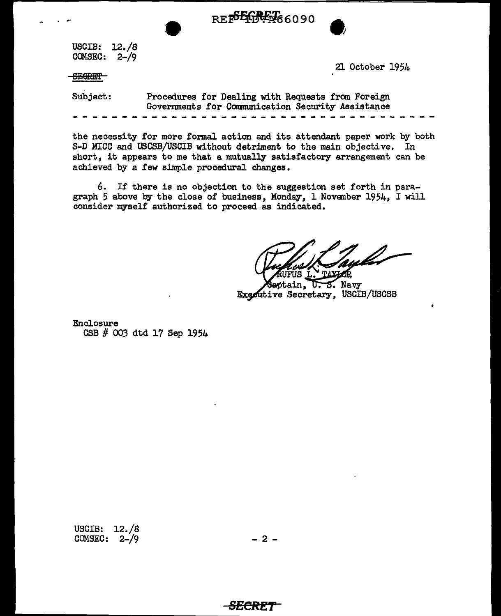

USCIB: 12./8 COMSEC: 2-/9

**SEGRET** 

21 October 1954

Subject: Procedures for Dealing with Requests from Foreign Governments for Communication Security Assistance

the necessity for more formal action and its attendant paper work by both S-D MICC and USCSB/USCIB without detriment to the main objective. In short, it appears to me that a mutually satisfactory arrangement can be achieved by a few simple procedural changes.

6. If there is no objection to the suggestion set forth in paragraph 5 above by the close of business. Monday, 1 November 1954, I will consider myself authorized to proceed as indicated.

tain, U.S. Navy Executive Secretary, USCIB/USCSB

Enclosure CSB # *003* dtd 17 Sep 1954

USCIB: 12. /8 COMSEC:  $2-\frac{1}{9}$ 

 $- 2 -$ 

<del>-SECRET</del>